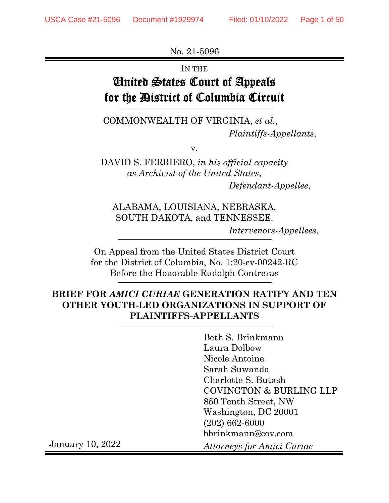No. 21-5096

IN THE

# United States Court of Appeals for the District of Columbia Circuit

COMMONWEALTH OF VIRGINIA, *et al.*, *Plaintiffs-Appellants*,

v.

DAVID S. FERRIERO, *in his official capacity as Archivist of the United States*, *Defendant-Appellee*,

ALABAMA, LOUISIANA, NEBRASKA, SOUTH DAKOTA, and TENNESSEE. *Intervenors-Appellees*,

On Appeal from the United States District Court for the District of Columbia, No. 1:20-cv-00242-RC Before the Honorable Rudolph Contreras

#### **BRIEF FOR** *AMICI CURIAE* **GENERATION RATIFY AND TEN OTHER YOUTH-LED ORGANIZATIONS IN SUPPORT OF PLAINTIFFS-APPELLANTS**

Beth S. Brinkmann Laura Dolbow Nicole Antoine Sarah Suwanda Charlotte S. Butash COVINGTON & BURLING LLP 850 Tenth Street, NW Washington, DC 20001 (202) 662-6000 bbrinkmann@cov.com

January 10, 2022

*Attorneys for Amici Curiae*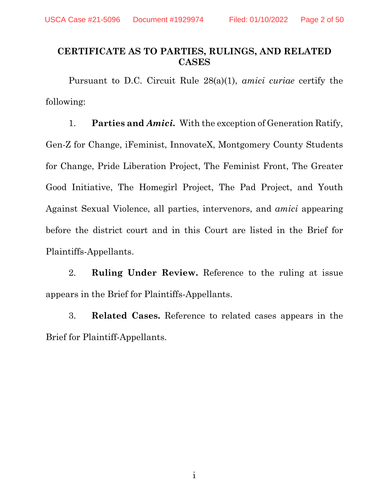#### <span id="page-1-0"></span>**CERTIFICATE AS TO PARTIES, RULINGS, AND RELATED CASES**

Pursuant to D.C. Circuit Rule 28(a)(1), *amici curiae* certify the following:

1. **Parties and** *Amici.* With the exception of Generation Ratify, Gen-Z for Change, iFeminist, InnovateX, Montgomery County Students for Change, Pride Liberation Project, The Feminist Front, The Greater Good Initiative, The Homegirl Project, The Pad Project, and Youth Against Sexual Violence, all parties, intervenors, and *amici* appearing before the district court and in this Court are listed in the Brief for Plaintiffs-Appellants.

2. **Ruling Under Review.** Reference to the ruling at issue appears in the Brief for Plaintiffs-Appellants.

3. **Related Cases.** Reference to related cases appears in the Brief for Plaintiff-Appellants.

i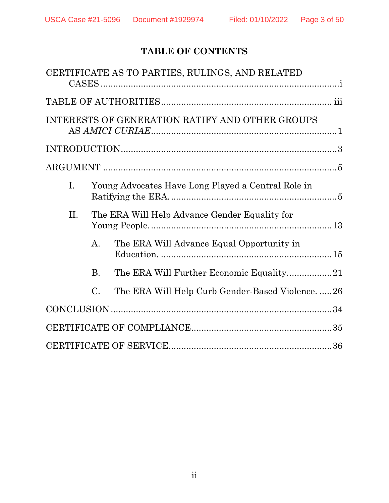# **TABLE OF CONTENTS**

|                |                 | CERTIFICATE AS TO PARTIES, RULINGS, AND RELATED    |  |
|----------------|-----------------|----------------------------------------------------|--|
|                |                 |                                                    |  |
|                |                 | INTERESTS OF GENERATION RATIFY AND OTHER GROUPS    |  |
|                |                 |                                                    |  |
|                |                 |                                                    |  |
| $\mathbf{I}$ . |                 | Young Advocates Have Long Played a Central Role in |  |
| II.            |                 | The ERA Will Help Advance Gender Equality for      |  |
|                | A.              | The ERA Will Advance Equal Opportunity in          |  |
|                | <b>B.</b>       |                                                    |  |
|                | $\mathcal{C}$ . | The ERA Will Help Curb Gender-Based Violence26     |  |
|                |                 |                                                    |  |
|                |                 |                                                    |  |
|                |                 |                                                    |  |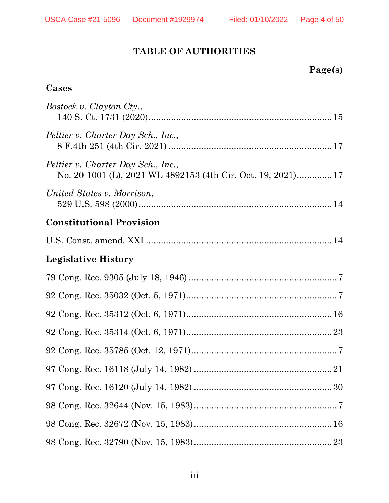## **TABLE OF AUTHORITIES**

| Page(s) |
|---------|
|---------|

## <span id="page-3-0"></span>**Cases**

| <i>Bostock v. Clayton Cty.,</i>                                                                    |
|----------------------------------------------------------------------------------------------------|
| Peltier v. Charter Day Sch., Inc.,                                                                 |
| Peltier v. Charter Day Sch., Inc.,<br>No. 20-1001 (L), 2021 WL 4892153 (4th Cir. Oct. 19, 2021) 17 |
| United States v. Morrison,                                                                         |
| <b>Constitutional Provision</b>                                                                    |
|                                                                                                    |
| <b>Legislative History</b>                                                                         |
|                                                                                                    |
|                                                                                                    |
|                                                                                                    |
|                                                                                                    |
|                                                                                                    |
|                                                                                                    |
|                                                                                                    |
|                                                                                                    |
|                                                                                                    |
|                                                                                                    |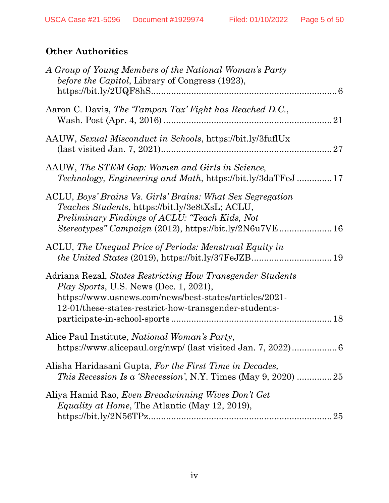# **Other Authorities**

| A Group of Young Members of the National Woman's Party<br>before the Capitol, Library of Congress (1923),                                                                                                                      |
|--------------------------------------------------------------------------------------------------------------------------------------------------------------------------------------------------------------------------------|
| Aaron C. Davis, The 'Tampon Tax' Fight has Reached D.C.,                                                                                                                                                                       |
| AAUW, Sexual Misconduct in Schools, https://bit.ly/3fuflUx                                                                                                                                                                     |
| AAUW, The STEM Gap: Women and Girls in Science,<br><i>Technology, Engineering and Math, https://bit.ly/3daTFeJ17</i>                                                                                                           |
| ACLU, Boys' Brains Vs. Girls' Brains: What Sex Segregation<br>Teaches Students, https://bit.ly/3e8tXsL; ACLU,<br>Preliminary Findings of ACLU: "Teach Kids, Not<br>Stereotypes" Campaign (2012), https://bit.ly/2N6u7VE 16     |
| ACLU, The Unequal Price of Periods: Menstrual Equity in                                                                                                                                                                        |
| Adriana Rezal, States Restricting How Transgender Students<br><i>Play Sports, U.S. News (Dec. 1, 2021),</i><br>https://www.usnews.com/news/best-states/articles/2021-<br>12-01/these-states-restrict-how-transgender-students- |
| Alice Paul Institute, <i>National Woman's Party</i> ,<br>https://www.alicepaul.org/nwp/ (last visited Jan. 7, 2022)<br>6                                                                                                       |
| Alisha Haridasani Gupta, For the First Time in Decades,<br><i>This Recession Is a 'Shecession'</i> , N.Y. Times (May 9, 2020) 25                                                                                               |
| Aliya Hamid Rao, Even Breadwinning Wives Don't Get<br><i>Equality at Home</i> , The Atlantic (May 12, 2019),<br>25                                                                                                             |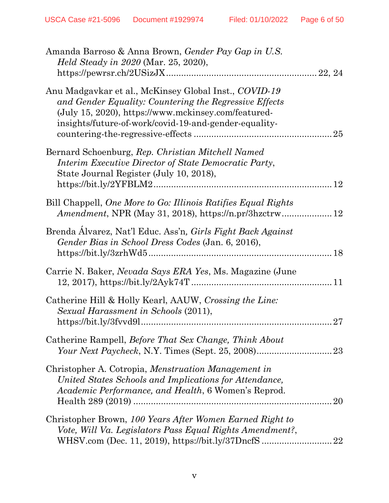| Amanda Barroso & Anna Brown, Gender Pay Gap in U.S.<br><i>Held Steady in 2020</i> (Mar. 25, 2020),                                                                                                                              |
|---------------------------------------------------------------------------------------------------------------------------------------------------------------------------------------------------------------------------------|
| Anu Madgavkar et al., McKinsey Global Inst., COVID-19<br>and Gender Equality: Countering the Regressive Effects<br>(July 15, 2020), https://www.mckinsey.com/featured-<br>insights/future-of-work/covid-19-and-gender-equality- |
| Bernard Schoenburg, Rep. Christian Mitchell Named<br>Interim Executive Director of State Democratic Party,<br>State Journal Register (July 10, 2018),                                                                           |
| Bill Chappell, One More to Go: Illinois Ratifies Equal Rights                                                                                                                                                                   |
| Brenda Álvarez, Nat'l Educ. Ass'n, Girls Fight Back Against<br>Gender Bias in School Dress Codes (Jan. 6, 2016),                                                                                                                |
| Carrie N. Baker, Nevada Says ERA Yes, Ms. Magazine (June                                                                                                                                                                        |
| Catherine Hill & Holly Kearl, AAUW, Crossing the Line:<br>Sexual Harassment in Schools (2011),<br>27                                                                                                                            |
| Catherine Rampell, <i>Before That Sex Change</i> , <i>Think About</i>                                                                                                                                                           |
| Christopher A. Cotropia, Menstruation Management in<br>United States Schools and Implications for Attendance,<br><i>Academic Performance, and Health, 6 Women's Reprod.</i><br>20                                               |
| Christopher Brown, 100 Years After Women Earned Right to<br>Vote, Will Va. Legislators Pass Equal Rights Amendment?,<br>WHSV.com (Dec. 11, 2019), https://bit.ly/37DncfS<br>22                                                  |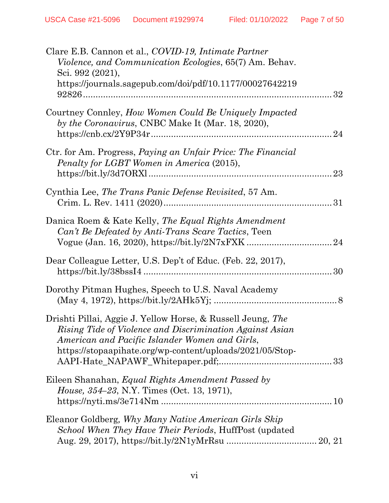| Clare E.B. Cannon et al., COVID-19, Intimate Partner<br><i>Violence, and Communication Ecologies, 65(7) Am. Behav.</i><br>Sci. 992 (2021),<br>https://journals.sagepub.com/doi/pdf/10.1177/00027642219                                 |    |
|----------------------------------------------------------------------------------------------------------------------------------------------------------------------------------------------------------------------------------------|----|
| Courtney Connley, How Women Could Be Uniquely Impacted<br>by the Coronavirus, CNBC Make It (Mar. 18, 2020),                                                                                                                            | 24 |
| Ctr. for Am. Progress, Paying an Unfair Price: The Financial<br>Penalty for LGBT Women in America (2015),                                                                                                                              | 23 |
| Cynthia Lee, The Trans Panic Defense Revisited, 57 Am.                                                                                                                                                                                 |    |
| Danica Roem & Kate Kelly, The Equal Rights Amendment<br>Can't Be Defeated by Anti-Trans Scare Tactics, Teen                                                                                                                            |    |
| Dear Colleague Letter, U.S. Dep't of Educ. (Feb. 22, 2017),                                                                                                                                                                            |    |
| Dorothy Pitman Hughes, Speech to U.S. Naval Academy                                                                                                                                                                                    |    |
| Drishti Pillai, Aggie J. Yellow Horse, & Russell Jeung, The<br>Rising Tide of Violence and Discrimination Against Asian<br>American and Pacific Islander Women and Girls,<br>https://stopaapihate.org/wp-content/uploads/2021/05/Stop- |    |
| Eileen Shanahan, <i>Equal Rights Amendment Passed by</i><br>House, 354–23, N.Y. Times (Oct. 13, 1971),                                                                                                                                 |    |
| Eleanor Goldberg, Why Many Native American Girls Skip<br>School When They Have Their Periods, HuffPost (updated                                                                                                                        |    |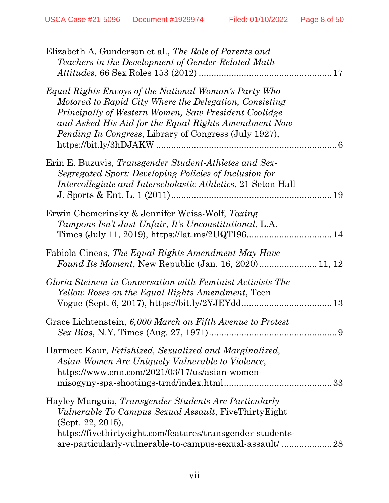| Elizabeth A. Gunderson et al., The Role of Parents and<br>Teachers in the Development of Gender-Related Math                                                                                                                                                                                    |  |
|-------------------------------------------------------------------------------------------------------------------------------------------------------------------------------------------------------------------------------------------------------------------------------------------------|--|
| Equal Rights Envoys of the National Woman's Party Who<br>Motored to Rapid City Where the Delegation, Consisting<br>Principally of Western Women, Saw President Coolidge<br>and Asked His Aid for the Equal Rights Amendment Now<br><i>Pending In Congress, Library of Congress (July 1927),</i> |  |
| Erin E. Buzuvis, <i>Transgender Student-Athletes and Sex-</i><br>Segregated Sport: Developing Policies of Inclusion for<br><i>Intercollegiate and Interscholastic Athletics</i> , 21 Seton Hall                                                                                                 |  |
| Erwin Chemerinsky & Jennifer Weiss-Wolf, Taxing<br>Tampons Isn't Just Unfair, It's Unconstitutional, L.A.                                                                                                                                                                                       |  |
| Fabiola Cineas, The Equal Rights Amendment May Have                                                                                                                                                                                                                                             |  |
| Gloria Steinem in Conversation with Feminist Activists The<br>Yellow Roses on the Equal Rights Amendment, Teen                                                                                                                                                                                  |  |
| Grace Lichtenstein, 6,000 March on Fifth Avenue to Protest                                                                                                                                                                                                                                      |  |
| Harmeet Kaur, Fetishized, Sexualized and Marginalized,<br>Asian Women Are Uniquely Vulnerable to Violence,<br>https://www.cnn.com/2021/03/17/us/asian-women-<br>33                                                                                                                              |  |
| Hayley Munguia, Transgender Students Are Particularly<br>Vulnerable To Campus Sexual Assault, FiveThirtyEight<br>(Sept. 22, 2015),<br>https://fivethirtyeight.com/features/transgender-students-<br>are-particularly-vulnerable-to-campus-sexual-assault/28                                     |  |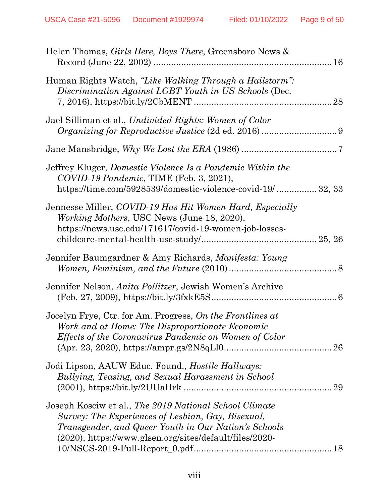| Helen Thomas, <i>Girls Here, Boys There</i> , Greensboro News &                                                                                                                                                                 |    |
|---------------------------------------------------------------------------------------------------------------------------------------------------------------------------------------------------------------------------------|----|
| Human Rights Watch, "Like Walking Through a Hailstorm":<br>Discrimination Against LGBT Youth in US Schools (Dec.                                                                                                                | 28 |
| Jael Silliman et al., Undivided Rights: Women of Color                                                                                                                                                                          |    |
|                                                                                                                                                                                                                                 |    |
| Jeffrey Kluger, <i>Domestic Violence Is a Pandemic Within the</i><br>COVID-19 Pandemic, TIME (Feb. 3, 2021),<br>https://time.com/5928539/domestic-violence-covid-19/ 32, 33                                                     |    |
| Jennesse Miller, COVID-19 Has Hit Women Hard, Especially<br><i>Working Mothers</i> , USC News (June 18, 2020),<br>https://news.usc.edu/171617/covid-19-women-job-losses-                                                        |    |
| Jennifer Baumgardner & Amy Richards, <i>Manifesta: Young</i>                                                                                                                                                                    |    |
| Jennifer Nelson, <i>Anita Pollitzer</i> , Jewish Women's Archive                                                                                                                                                                |    |
| Jocelyn Frye, Ctr. for Am. Progress, On the Frontlines at<br>Work and at Home: The Disproportionate Economic<br><i>Effects of the Coronavirus Pandemic on Women of Color</i>                                                    | 26 |
| Jodi Lipson, AAUW Educ. Found., <i>Hostile Hallways</i> :<br>Bullying, Teasing, and Sexual Harassment in School                                                                                                                 | 29 |
| Joseph Kosciw et al., The 2019 National School Climate<br>Survey: The Experiences of Lesbian, Gay, Bisexual,<br>Transgender, and Queer Youth in Our Nation's Schools<br>(2020), https://www.glsen.org/sites/default/files/2020- |    |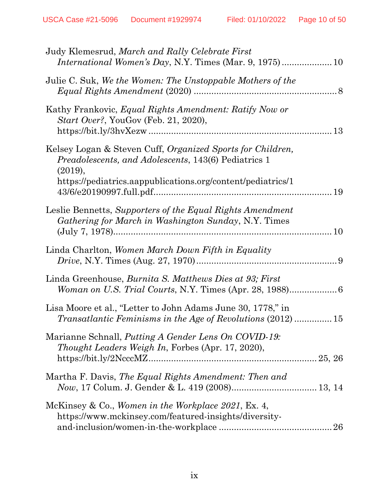| Judy Klemesrud, March and Rally Celebrate First                                                                                              |  |
|----------------------------------------------------------------------------------------------------------------------------------------------|--|
| Julie C. Suk, We the Women: The Unstoppable Mothers of the                                                                                   |  |
| Kathy Frankovic, Equal Rights Amendment: Ratify Now or<br>Start Over?, YouGov (Feb. 21, 2020),                                               |  |
| Kelsey Logan & Steven Cuff, <i>Organized Sports for Children</i> ,<br><i>Preadolescents, and Adolescents, 143(6) Pediatrics 1</i><br>(2019), |  |
| https://pediatrics.aappublications.org/content/pediatrics/1                                                                                  |  |
| Leslie Bennetts, Supporters of the Equal Rights Amendment<br>Gathering for March in Washington Sunday, N.Y. Times                            |  |
| Linda Charlton, Women March Down Fifth in Equality                                                                                           |  |
| Linda Greenhouse, <i>Burnita S. Matthews Dies at 93; First</i>                                                                               |  |
| Lisa Moore et al., "Letter to John Adams June 30, 1778," in<br>Transatlantic Feminisms in the Age of Revolutions (2012)  15                  |  |
| Marianne Schnall, <i>Putting A Gender Lens On COVID-19</i> :<br><i>Thought Leaders Weigh In, Forbes (Apr. 17, 2020),</i>                     |  |
| Martha F. Davis, The Equal Rights Amendment: Then and                                                                                        |  |
| McKinsey & Co., Women in the Workplace 2021, Ex. 4,<br>https://www.mckinsey.com/featured-insights/diversity-                                 |  |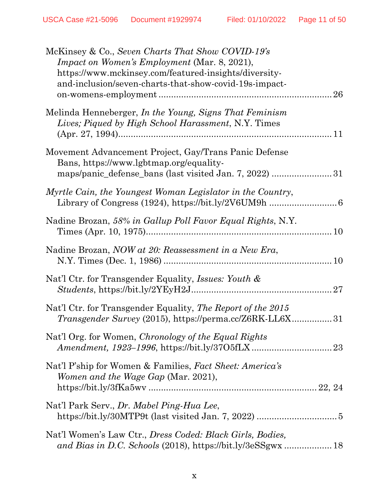| McKinsey & Co., Seven Charts That Show COVID-19's<br><i>Impact on Women's Employment (Mar. 8, 2021),</i><br>https://www.mckinsey.com/featured-insights/diversity-<br>and-inclusion/seven-charts-that-show-covid-19s-impact-<br>26 |
|-----------------------------------------------------------------------------------------------------------------------------------------------------------------------------------------------------------------------------------|
| Melinda Henneberger, In the Young, Signs That Feminism<br>Lives; Piqued by High School Harassment, N.Y. Times                                                                                                                     |
| Movement Advancement Project, Gay/Trans Panic Defense<br>Bans, https://www.lgbtmap.org/equality-                                                                                                                                  |
| Myrtle Cain, the Youngest Woman Legislator in the Country,                                                                                                                                                                        |
| Nadine Brozan, 58% in Gallup Poll Favor Equal Rights, N.Y.                                                                                                                                                                        |
| Nadine Brozan, NOW at 20: Reassessment in a New Era,                                                                                                                                                                              |
| Nat'l Ctr. for Transgender Equality, <i>Issues: Youth &amp;</i>                                                                                                                                                                   |
| Nat'l Ctr. for Transgender Equality, The Report of the 2015<br><i>Transgender Survey</i> (2015), https://perma.cc/Z6RK-LL6X31                                                                                                     |
| Nat'l Org. for Women, Chronology of the Equal Rights                                                                                                                                                                              |
| Nat'l P'ship for Women & Families, Fact Sheet: America's<br>Women and the Wage Gap (Mar. 2021),                                                                                                                                   |
| Nat'l Park Serv., Dr. Mabel Ping-Hua Lee,                                                                                                                                                                                         |
| Nat'l Women's Law Ctr., <i>Dress Coded: Black Girls, Bodies</i> ,                                                                                                                                                                 |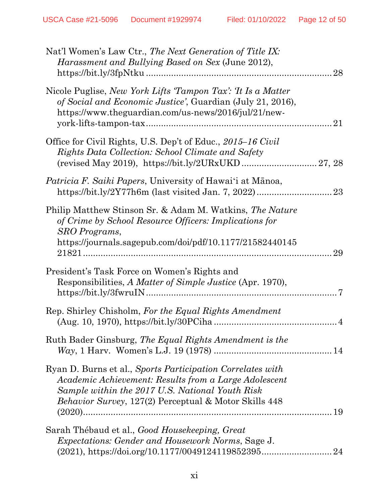| Nat'l Women's Law Ctr., The Next Generation of Title IX:<br>Harassment and Bullying Based on Sex (June 2012),<br>28                                                                                                                     |
|-----------------------------------------------------------------------------------------------------------------------------------------------------------------------------------------------------------------------------------------|
| Nicole Puglise, New York Lifts 'Tampon Tax': 'It Is a Matter'<br>of Social and Economic Justice', Guardian (July 21, 2016),<br>https://www.theguardian.com/us-news/2016/jul/21/new-<br>21                                               |
| Office for Civil Rights, U.S. Dep't of Educ., 2015–16 Civil<br>Rights Data Collection: School Climate and Safety                                                                                                                        |
| <i>Patricia F. Saiki Papers, University of Hawai'i at Mānoa,</i><br>https://bit.ly/2Y77h6m (last visited Jan. 7, 2022)<br>23                                                                                                            |
| Philip Matthew Stinson Sr. & Adam M. Watkins, The Nature<br>of Crime by School Resource Officers: Implications for<br>SRO Programs,<br>https://journals.sagepub.com/doi/pdf/10.1177/21582440145<br>29                                   |
| President's Task Force on Women's Rights and<br>Responsibilities, A Matter of Simple Justice (Apr. 1970),                                                                                                                               |
| Rep. Shirley Chisholm, For the Equal Rights Amendment<br>$(Aug. 10, 1970), Aug. 10, 1970), Aug. 10, 1970), Aug. 10, 1970), Aug. 10, 1970), <a href="https://bit.ly/30PCiha</math>$                                                      |
| Ruth Bader Ginsburg, The Equal Rights Amendment is the                                                                                                                                                                                  |
| Ryan D. Burns et al., Sports Participation Correlates with<br>Academic Achievement: Results from a Large Adolescent<br>Sample within the 2017 U.S. National Youth Risk<br><i>Behavior Survey</i> , 127(2) Perceptual & Motor Skills 448 |
| Sarah Thébaud et al., Good Housekeeping, Great<br><i>Expectations: Gender and Housework Norms, Sage J.</i>                                                                                                                              |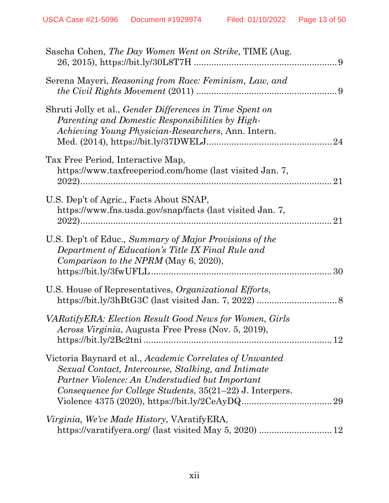| Sascha Cohen, The Day Women Went on Strike, TIME (Aug.                                                                                                                                                                          |    |
|---------------------------------------------------------------------------------------------------------------------------------------------------------------------------------------------------------------------------------|----|
| Serena Mayeri, Reasoning from Race: Feminism, Law, and                                                                                                                                                                          |    |
| Shruti Jolly et al., <i>Gender Differences in Time Spent on</i><br>Parenting and Domestic Responsibilities by High-<br>Achieving Young Physician-Researchers, Ann. Intern.                                                      |    |
| Tax Free Period, Interactive Map,<br>https://www.taxfreeperiod.com/home (last visited Jan. 7,                                                                                                                                   | 21 |
| U.S. Dep't of Agric., Facts About SNAP,<br>https://www.fns.usda.gov/snap/facts (last visited Jan. 7,                                                                                                                            | 21 |
| U.S. Dep't of Educ., Summary of Major Provisions of the<br>Department of Education's Title IX Final Rule and<br>Comparison to the NPRM (May 6, 2020),                                                                           | 30 |
| U.S. House of Representatives, Organizational Efforts,                                                                                                                                                                          |    |
| VARatifyERA: Election Result Good News for Women, Girls<br>Across Virginia, Augusta Free Press (Nov. 5, 2019),                                                                                                                  |    |
| Victoria Baynard et al., Academic Correlates of Unwanted<br>Sexual Contact, Intercourse, Stalking, and Intimate<br>Partner Violence: An Understudied but Important<br>Consequence for College Students, 35(21–22) J. Interpers. |    |
| <i>Virginia, We've Made History, VAratifyERA,</i>                                                                                                                                                                               |    |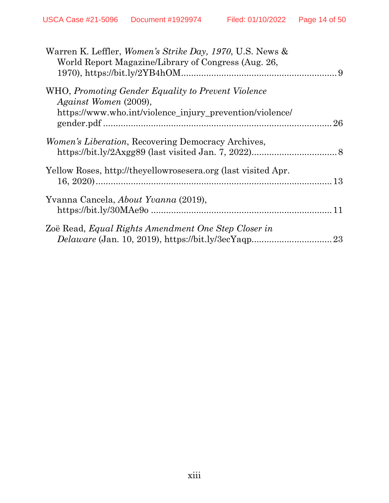| Warren K. Leffler, Women's Strike Day, 1970, U.S. News &<br>World Report Magazine/Library of Congress (Aug. 26, |    |
|-----------------------------------------------------------------------------------------------------------------|----|
| WHO, Promoting Gender Equality to Prevent Violence<br>Against Women (2009),                                     |    |
| https://www.who.int/violence_injury_prevention/violence/                                                        | 26 |
| <i>Women's Liberation</i> , Recovering Democracy Archives,                                                      |    |
| Yellow Roses, http://theyellowrosesera.org (last visited Apr.                                                   |    |
| Yvanna Cancela, About Yvanna (2019),                                                                            |    |
| Zoë Read, Equal Rights Amendment One Step Closer in                                                             | 23 |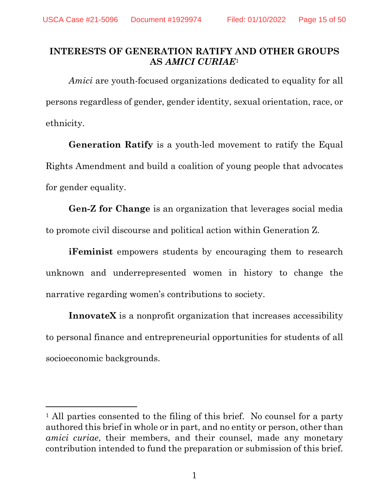#### <span id="page-14-0"></span>**INTERESTS OF GENERATION RATIFY AND OTHER GROUPS AS** *AMICI CURIAE*<sup>1</sup>

*Amici* are youth-focused organizations dedicated to equality for all persons regardless of gender, gender identity, sexual orientation, race, or ethnicity.

**Generation Ratify** is a youth-led movement to ratify the Equal Rights Amendment and build a coalition of young people that advocates for gender equality.

**Gen-Z for Change** is an organization that leverages social media to promote civil discourse and political action within Generation Z.

**iFeminist** empowers students by encouraging them to research unknown and underrepresented women in history to change the narrative regarding women's contributions to society.

**InnovateX** is a nonprofit organization that increases accessibility to personal finance and entrepreneurial opportunities for students of all socioeconomic backgrounds.

<sup>&</sup>lt;sup>1</sup> All parties consented to the filing of this brief. No counsel for a party authored this brief in whole or in part, and no entity or person, other than *amici curiae*, their members, and their counsel, made any monetary contribution intended to fund the preparation or submission of this brief.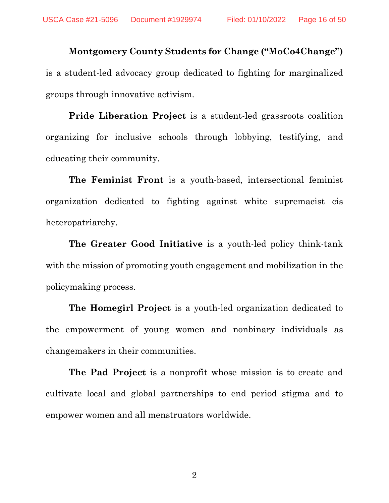**Montgomery County Students for Change ("MoCo4Change")**  is a student-led advocacy group dedicated to fighting for marginalized groups through innovative activism.

**Pride Liberation Project** is a student-led grassroots coalition organizing for inclusive schools through lobbying, testifying, and educating their community.

**The Feminist Front** is a youth-based, intersectional feminist organization dedicated to fighting against white supremacist cis heteropatriarchy.

**The Greater Good Initiative** is a youth-led policy think-tank with the mission of promoting youth engagement and mobilization in the policymaking process.

**The Homegirl Project** is a youth-led organization dedicated to the empowerment of young women and nonbinary individuals as changemakers in their communities.

**The Pad Project** is a nonprofit whose mission is to create and cultivate local and global partnerships to end period stigma and to empower women and all menstruators worldwide.

2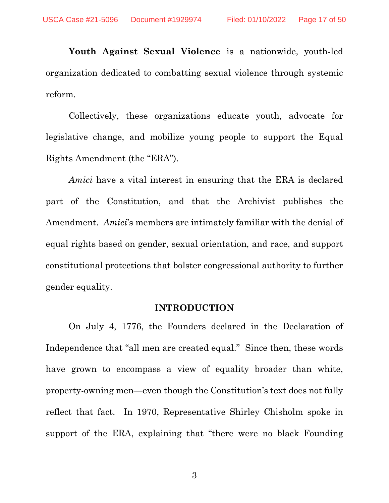**Youth Against Sexual Violence** is a nationwide, youth-led organization dedicated to combatting sexual violence through systemic reform.

Collectively, these organizations educate youth, advocate for legislative change, and mobilize young people to support the Equal Rights Amendment (the "ERA").

*Amici* have a vital interest in ensuring that the ERA is declared part of the Constitution, and that the Archivist publishes the Amendment. *Amici*'s members are intimately familiar with the denial of equal rights based on gender, sexual orientation, and race, and support constitutional protections that bolster congressional authority to further gender equality.

#### **INTRODUCTION**

<span id="page-16-0"></span>On July 4, 1776, the Founders declared in the Declaration of Independence that "all men are created equal." Since then, these words have grown to encompass a view of equality broader than white, property-owning men—even though the Constitution's text does not fully reflect that fact. In 1970, Representative Shirley Chisholm spoke in support of the ERA, explaining that "there were no black Founding

3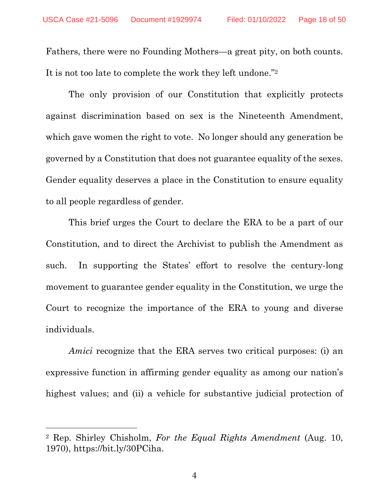Fathers, there were no Founding Mothers—a great pity, on both counts. It is not too late to complete the work they left undone."<sup>2</sup>

The only provision of our Constitution that explicitly protects against discrimination based on sex is the Nineteenth Amendment, which gave women the right to vote. No longer should any generation be governed by a Constitution that does not guarantee equality of the sexes. Gender equality deserves a place in the Constitution to ensure equality to all people regardless of gender.

This brief urges the Court to declare the ERA to be a part of our Constitution, and to direct the Archivist to publish the Amendment as such. In supporting the States' effort to resolve the century-long movement to guarantee gender equality in the Constitution, we urge the Court to recognize the importance of the ERA to young and diverse individuals.

*Amici* recognize that the ERA serves two critical purposes: (i) an expressive function in affirming gender equality as among our nation's highest values; and (ii) a vehicle for substantive judicial protection of

<span id="page-17-0"></span><sup>2</sup> Rep. Shirley Chisholm, *For the Equal Rights Amendment* (Aug. 10, 1970), https://bit.ly/30PCiha.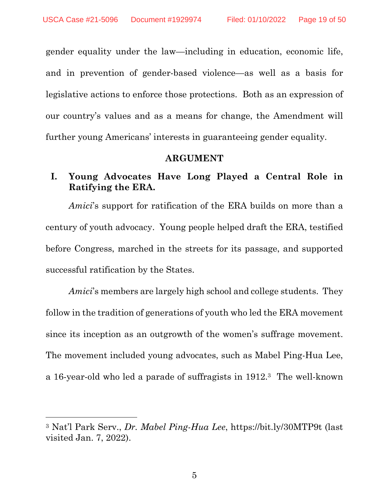gender equality under the law—including in education, economic life, and in prevention of gender-based violence—as well as a basis for legislative actions to enforce those protections. Both as an expression of our country's values and as a means for change, the Amendment will further young Americans' interests in guaranteeing gender equality.

#### **ARGUMENT**

#### <span id="page-18-1"></span><span id="page-18-0"></span>**I. Young Advocates Have Long Played a Central Role in Ratifying the ERA.**

*Amici*'s support for ratification of the ERA builds on more than a century of youth advocacy. Young people helped draft the ERA, testified before Congress, marched in the streets for its passage, and supported successful ratification by the States.

*Amici*'s members are largely high school and college students. They follow in the tradition of generations of youth who led the ERA movement since its inception as an outgrowth of the women's suffrage movement. The movement included young advocates, such as Mabel Ping-Hua Lee, a 16-year-old who led a parade of suffragists in 1912.3 The well-known

<span id="page-18-2"></span><sup>3</sup> Nat'l Park Serv., *Dr. Mabel Ping-Hua Lee*, https://bit.ly/30MTP9t (last visited Jan. 7, 2022).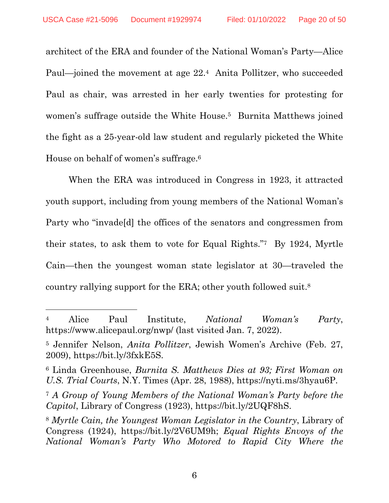architect of the ERA and founder of the National Woman's Party—Alice Paul—joined the movement at age 22.4 Anita Pollitzer, who succeeded Paul as chair, was arrested in her early twenties for protesting for women's suffrage outside the White House.<sup>5</sup> Burnita Matthews joined the fight as a 25-year-old law student and regularly picketed the White House on behalf of women's suffrage.<sup>6</sup>

When the ERA was introduced in Congress in 1923, it attracted youth support, including from young members of the National Woman's Party who "invade[d] the offices of the senators and congressmen from their states, to ask them to vote for Equal Rights."7 By 1924, Myrtle Cain—then the youngest woman state legislator at 30—traveled the country rallying support for the ERA; other youth followed suit.<sup>8</sup>

<span id="page-19-1"></span><sup>4</sup> Alice Paul Institute, *National Woman's Party*, https://www.alicepaul.org/nwp/ (last visited Jan. 7, 2022).

<span id="page-19-3"></span><sup>5</sup> Jennifer Nelson, *Anita Pollitzer*, Jewish Women's Archive (Feb. 27, 2009), https://bit.ly/3fxkE5S.

<span id="page-19-4"></span><sup>6</sup> Linda Greenhouse, *Burnita S. Matthews Dies at 93; First Woman on U.S. Trial Courts*, N.Y. Times (Apr. 28, 1988), https://nyti.ms/3hyau6P.

<span id="page-19-0"></span><sup>7</sup> *A Group of Young Members of the National Woman's Party before the Capitol*, Library of Congress (1923), https://bit.ly/2UQF8hS.

<span id="page-19-5"></span><span id="page-19-2"></span><sup>8</sup> *Myrtle Cain, the Youngest Woman Legislator in the Country*, Library of Congress (1924), https://bit.ly/2V6UM9h; *Equal Rights Envoys of the National Woman's Party Who Motored to Rapid City Where the*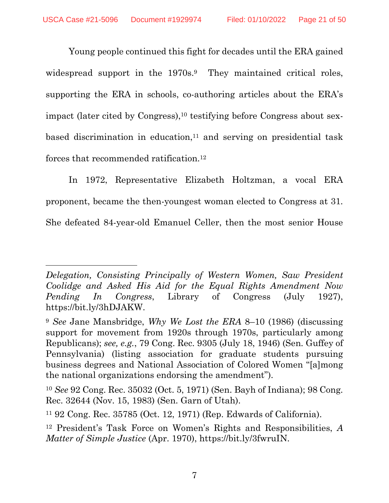Young people continued this fight for decades until the ERA gained widespread support in the 1970s.<sup>9</sup> They maintained critical roles, supporting the ERA in schools, co-authoring articles about the ERA's impact (later cited by Congress),<sup>10</sup> testifying before Congress about sexbased discrimination in education,<sup>11</sup> and serving on presidential task forces that recommended ratification.<sup>12</sup>

In 1972, Representative Elizabeth Holtzman, a vocal ERA proponent, became the then-youngest woman elected to Congress at 31. She defeated 84-year-old Emanuel Celler, then the most senior House

*Delegation, Consisting Principally of Western Women, Saw President Coolidge and Asked His Aid for the Equal Rights Amendment Now Pending In Congress*, Library of Congress (July 1927), https://bit.ly/3hDJAKW.

<span id="page-20-4"></span><span id="page-20-0"></span><sup>9</sup> *See* Jane Mansbridge, *Why We Lost the ERA* 8–10 (1986) (discussing support for movement from 1920s through 1970s, particularly among Republicans); *see, e.g.*, 79 Cong. Rec. 9305 (July 18, 1946) (Sen. Guffey of Pennsylvania) (listing association for graduate students pursuing business degrees and National Association of Colored Women "[a]mong the national organizations endorsing the amendment").

<span id="page-20-3"></span><span id="page-20-1"></span><sup>10</sup> *See* 92 Cong. Rec. 35032 (Oct. 5, 1971) (Sen. Bayh of Indiana); 98 Cong. Rec. 32644 (Nov. 15, 1983) (Sen. Garn of Utah).

<span id="page-20-2"></span><sup>11</sup> 92 Cong. Rec. 35785 (Oct. 12, 1971) (Rep. Edwards of California).

<span id="page-20-5"></span><sup>12</sup> President's Task Force on Women's Rights and Responsibilities, *A Matter of Simple Justice* (Apr. 1970), https://bit.ly/3fwruIN.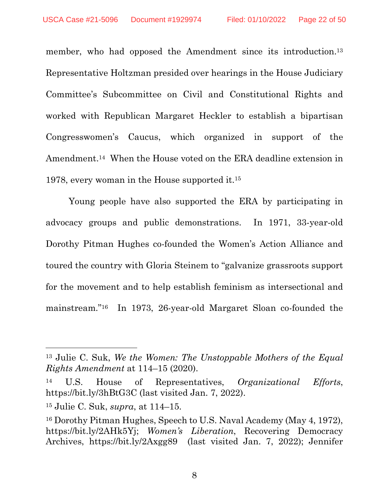member, who had opposed the Amendment since its introduction.<sup>13</sup> Representative Holtzman presided over hearings in the House Judiciary Committee's Subcommittee on Civil and Constitutional Rights and worked with Republican Margaret Heckler to establish a bipartisan Congresswomen's Caucus, which organized in support of the Amendment.14 When the House voted on the ERA deadline extension in 1978, every woman in the House supported it.<sup>15</sup>

Young people have also supported the ERA by participating in advocacy groups and public demonstrations. In 1971, 33-year-old Dorothy Pitman Hughes co-founded the Women's Action Alliance and toured the country with Gloria Steinem to "galvanize grassroots support for the movement and to help establish feminism as intersectional and mainstream."16 In 1973, 26-year-old Margaret Sloan co-founded the

<span id="page-21-2"></span><sup>13</sup> Julie C. Suk, *We the Women: The Unstoppable Mothers of the Equal Rights Amendment* at 114–15 (2020).

<span id="page-21-3"></span><sup>14</sup> U.S. House of Representatives, *Organizational Efforts*, https://bit.ly/3hBtG3C (last visited Jan. 7, 2022).

<sup>15</sup> Julie C. Suk, *supra*, at 114–15.

<span id="page-21-4"></span><span id="page-21-1"></span><span id="page-21-0"></span><sup>16</sup> Dorothy Pitman Hughes, Speech to U.S. Naval Academy (May 4, 1972), https://bit.ly/2AHk5Yj; *Women's Liberation*, Recovering Democracy Archives, https://bit.ly/2Axgg89 (last visited Jan. 7, 2022); Jennifer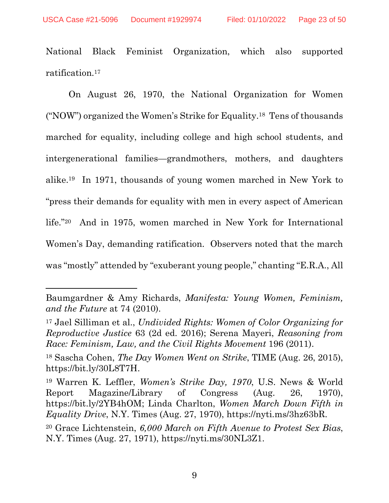National Black Feminist Organization, which also supported ratification.<sup>17</sup>

On August 26, 1970, the National Organization for Women ("NOW") organized the Women's Strike for Equality.18 Tens of thousands marched for equality, including college and high school students, and intergenerational families—grandmothers, mothers, and daughters alike.19 In 1971, thousands of young women marched in New York to "press their demands for equality with men in every aspect of American life."20 And in 1975, women marched in New York for International Women's Day, demanding ratification. Observers noted that the march was "mostly" attended by "exuberant young people," chanting "E.R.A., All

Baumgardner & Amy Richards, *Manifesta: Young Women, Feminism, and the Future* at 74 (2010).

<span id="page-22-4"></span><span id="page-22-1"></span><sup>17</sup> Jael Silliman et al., *Undivided Rights: Women of Color Organizing for Reproductive Justice* 63 (2d ed. 2016); Serena Mayeri, *Reasoning from Race: Feminism, Law, and the Civil Rights Movement* 196 (2011).

<span id="page-22-3"></span><sup>18</sup> Sascha Cohen, *The Day Women Went on Strike*, TIME (Aug. 26, 2015), https://bit.ly/30L8T7H.

<span id="page-22-5"></span><span id="page-22-2"></span><sup>19</sup> Warren K. Leffler, *Women's Strike Day, 1970*, U.S. News & World Report Magazine/Library of Congress (Aug. 26, 1970), https://bit.ly/2YB4hOM; Linda Charlton, *Women March Down Fifth in Equality Drive*, N.Y. Times (Aug. 27, 1970), https://nyti.ms/3hz63bR.

<span id="page-22-0"></span><sup>20</sup> Grace Lichtenstein, *6,000 March on Fifth Avenue to Protest Sex Bias*, N.Y. Times (Aug. 27, 1971), https://nyti.ms/30NL3Z1.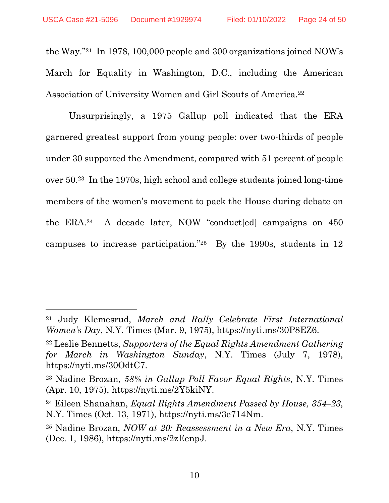the Way."21 In 1978, 100,000 people and 300 organizations joined NOW's March for Equality in Washington, D.C., including the American Association of University Women and Girl Scouts of America.<sup>22</sup>

Unsurprisingly, a 1975 Gallup poll indicated that the ERA garnered greatest support from young people: over two-thirds of people under 30 supported the Amendment, compared with 51 percent of people over 50.23 In the 1970s, high school and college students joined long-time members of the women's movement to pack the House during debate on the ERA.24 A decade later, NOW "conduct[ed] campaigns on 450 campuses to increase participation."25 By the 1990s, students in 12

<span id="page-23-1"></span><sup>21</sup> Judy Klemesrud, *March and Rally Celebrate First International Women's Day*, N.Y. Times (Mar. 9, 1975), https://nyti.ms/30P8EZ6.

<span id="page-23-2"></span><sup>22</sup> Leslie Bennetts, *Supporters of the Equal Rights Amendment Gathering for March in Washington Sunday*, N.Y. Times (July 7, 1978), https://nyti.ms/30OdtC7.

<span id="page-23-3"></span><sup>23</sup> Nadine Brozan, *58% in Gallup Poll Favor Equal Rights*, N.Y. Times (Apr. 10, 1975), https://nyti.ms/2Y5kiNY.

<span id="page-23-0"></span><sup>24</sup> Eileen Shanahan, *Equal Rights Amendment Passed by House, 354–23*, N.Y. Times (Oct. 13, 1971), https://nyti.ms/3e714Nm.

<span id="page-23-4"></span><sup>25</sup> Nadine Brozan, *NOW at 20: Reassessment in a New Era*, N.Y. Times (Dec. 1, 1986), https://nyti.ms/2zEenpJ.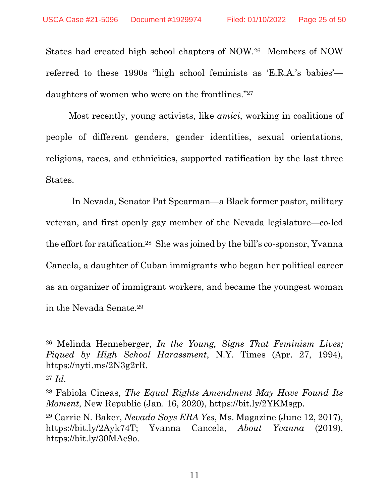States had created high school chapters of NOW. <sup>26</sup> Members of NOW referred to these 1990s "high school feminists as 'E.R.A.'s babies' daughters of women who were on the frontlines."<sup>27</sup>

Most recently, young activists, like *amici*, working in coalitions of people of different genders, gender identities, sexual orientations, religions, races, and ethnicities, supported ratification by the last three States.

In Nevada, Senator Pat Spearman—a Black former pastor, military veteran, and first openly gay member of the Nevada legislature—co-led the effort for ratification.28 She was joined by the bill's co-sponsor, Yvanna Cancela, a daughter of Cuban immigrants who began her political career as an organizer of immigrant workers, and became the youngest woman in the Nevada Senate.<sup>29</sup>

<span id="page-24-2"></span><sup>26</sup> Melinda Henneberger, *In the Young, Signs That Feminism Lives; Piqued by High School Harassment*, N.Y. Times (Apr. 27, 1994), https://nyti.ms/2N3g2rR.

<sup>27</sup> *Id.*

<span id="page-24-1"></span><sup>28</sup> Fabiola Cineas, *The Equal Rights Amendment May Have Found Its Moment*, New Republic (Jan. 16, 2020), https://bit.ly/2YKMsgp.

<span id="page-24-3"></span><span id="page-24-0"></span><sup>29</sup> Carrie N. Baker, *Nevada Says ERA Yes*, Ms. Magazine (June 12, 2017), https://bit.ly/2Ayk74T; Yvanna Cancela, *About Yvanna* (2019), https://bit.ly/30MAe9o.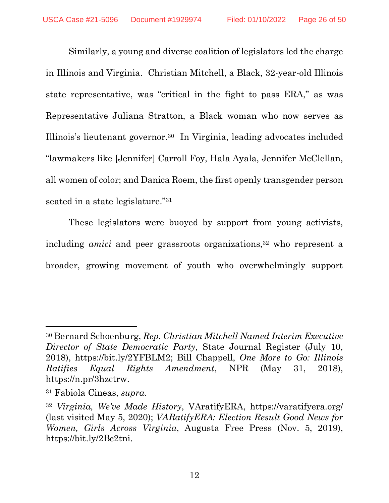Similarly, a young and diverse coalition of legislators led the charge in Illinois and Virginia. Christian Mitchell, a Black, 32-year-old Illinois state representative, was "critical in the fight to pass ERA," as was Representative Juliana Stratton, a Black woman who now serves as Illinois's lieutenant governor.30 In Virginia, leading advocates included "lawmakers like [Jennifer] Carroll Foy, Hala Ayala, Jennifer McClellan, all women of color; and Danica Roem, the first openly transgender person seated in a state legislature."<sup>31</sup>

These legislators were buoyed by support from young activists, including *amici* and peer grassroots organizations,<sup>32</sup> who represent a broader, growing movement of youth who overwhelmingly support

<span id="page-25-1"></span><span id="page-25-0"></span><sup>30</sup> Bernard Schoenburg, *Rep. Christian Mitchell Named Interim Executive Director of State Democratic Party*, State Journal Register (July 10, 2018), https://bit.ly/2YFBLM2; Bill Chappell, *One More to Go: Illinois Ratifies Equal Rights Amendment*, NPR (May 31, 2018), https://n.pr/3hzctrw.

<span id="page-25-2"></span><sup>31</sup> Fabiola Cineas, *supra*.

<span id="page-25-4"></span><span id="page-25-3"></span><sup>32</sup> *Virginia, We've Made History*, VAratifyERA, https://varatifyera.org/ (last visited May 5, 2020); *VARatifyERA: Election Result Good News for Women, Girls Across Virginia*, Augusta Free Press (Nov. 5, 2019), https://bit.ly/2Bc2tni.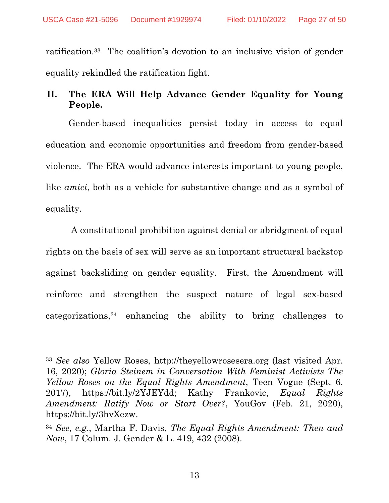ratification.33 The coalition's devotion to an inclusive vision of gender equality rekindled the ratification fight.

## <span id="page-26-0"></span>**II. The ERA Will Help Advance Gender Equality for Young People.**

Gender-based inequalities persist today in access to equal education and economic opportunities and freedom from gender-based violence. The ERA would advance interests important to young people, like *amici*, both as a vehicle for substantive change and as a symbol of equality.

 A constitutional prohibition against denial or abridgment of equal rights on the basis of sex will serve as an important structural backstop against backsliding on gender equality. First, the Amendment will reinforce and strengthen the suspect nature of legal sex-based categorizations,34 enhancing the ability to bring challenges to

<span id="page-26-4"></span><span id="page-26-2"></span><span id="page-26-1"></span><sup>33</sup> *See also* Yellow Roses, http://theyellowrosesera.org (last visited Apr. 16, 2020); *Gloria Steinem in Conversation With Feminist Activists The Yellow Roses on the Equal Rights Amendment*, Teen Vogue (Sept. 6, 2017), https://bit.ly/2YJEYdd; Kathy Frankovic, *Equal Rights Amendment: Ratify Now or Start Over?*, YouGov (Feb. 21, 2020), https://bit.ly/3hvXezw.

<span id="page-26-3"></span><sup>34</sup> *See, e.g.*, Martha F. Davis, *The Equal Rights Amendment: Then and Now*, 17 Colum. J. Gender & L. 419, 432 (2008).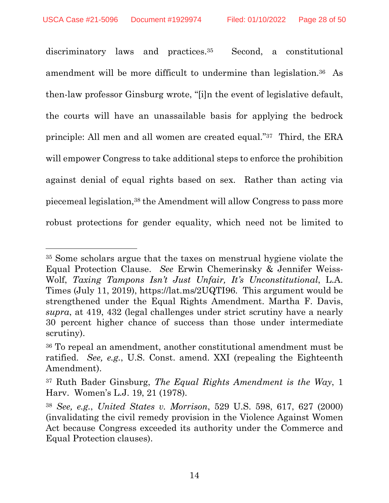discriminatory laws and practices.<sup>35</sup> Second, a constitutional amendment will be more difficult to undermine than legislation.36 As then-law professor Ginsburg wrote, "[i]n the event of legislative default, the courts will have an unassailable basis for applying the bedrock principle: All men and all women are created equal."37 Third, the ERA will empower Congress to take additional steps to enforce the prohibition against denial of equal rights based on sex. Rather than acting via piecemeal legislation,38 the Amendment will allow Congress to pass more robust protections for gender equality, which need not be limited to

<span id="page-27-3"></span><span id="page-27-2"></span><sup>35</sup> Some scholars argue that the taxes on menstrual hygiene violate the Equal Protection Clause. *See* Erwin Chemerinsky & Jennifer Weiss-Wolf, *Taxing Tampons Isn't Just Unfair, It's Unconstitutional*, L.A. Times (July 11, 2019), https://lat.ms/2UQTI96. This argument would be strengthened under the Equal Rights Amendment. Martha F. Davis, *supra*, at 419, 432 (legal challenges under strict scrutiny have a nearly 30 percent higher chance of success than those under intermediate scrutiny).

<span id="page-27-1"></span><sup>36</sup> To repeal an amendment, another constitutional amendment must be ratified. *See, e.g.*, U.S. Const. amend. XXI (repealing the Eighteenth Amendment).

<span id="page-27-4"></span><sup>37</sup> Ruth Bader Ginsburg, *The Equal Rights Amendment is the Way*, 1 Harv. Women's L.J. 19, 21 (1978).

<span id="page-27-0"></span><sup>38</sup> *See, e.g.*, *United States v. Morrison*, 529 U.S. 598, 617, 627 (2000) (invalidating the civil remedy provision in the Violence Against Women Act because Congress exceeded its authority under the Commerce and Equal Protection clauses).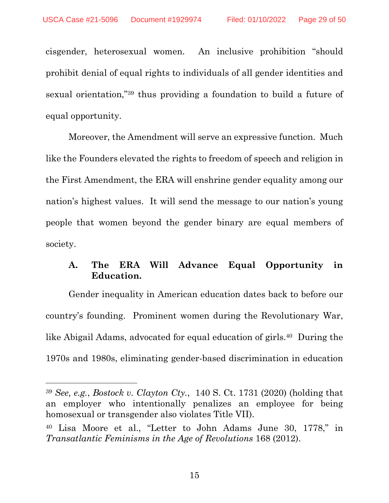cisgender, heterosexual women. An inclusive prohibition "should prohibit denial of equal rights to individuals of all gender identities and sexual orientation,"39 thus providing a foundation to build a future of equal opportunity.

Moreover, the Amendment will serve an expressive function. Much like the Founders elevated the rights to freedom of speech and religion in the First Amendment, the ERA will enshrine gender equality among our nation's highest values. It will send the message to our nation's young people that women beyond the gender binary are equal members of society.

## <span id="page-28-0"></span>**A. The ERA Will Advance Equal Opportunity in Education.**

Gender inequality in American education dates back to before our country's founding. Prominent women during the Revolutionary War, like Abigail Adams, advocated for equal education of girls.40 During the 1970s and 1980s, eliminating gender-based discrimination in education

15

<span id="page-28-1"></span><sup>39</sup> *See, e.g.*, *Bostock v. Clayton Cty.*, 140 S. Ct. 1731 (2020) (holding that an employer who intentionally penalizes an employee for being homosexual or transgender also violates Title VII).

<span id="page-28-2"></span><sup>40</sup> Lisa Moore et al., "Letter to John Adams June 30, 1778," in *Transatlantic Feminisms in the Age of Revolutions* 168 (2012).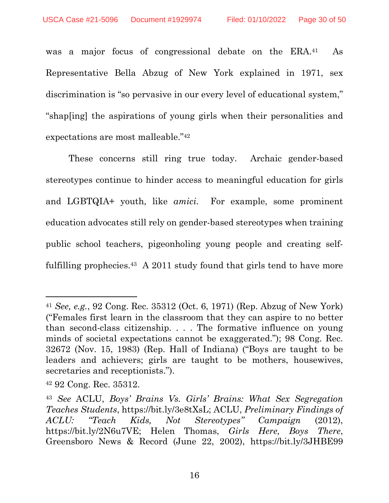was a major focus of congressional debate on the ERA.<sup>41</sup> As Representative Bella Abzug of New York explained in 1971, sex discrimination is "so pervasive in our every level of educational system," "shap[ing] the aspirations of young girls when their personalities and expectations are most malleable."<sup>42</sup>

These concerns still ring true today. Archaic gender-based stereotypes continue to hinder access to meaningful education for girls and LGBTQIA+ youth, like *amici*. For example, some prominent education advocates still rely on gender-based stereotypes when training public school teachers, pigeonholing young people and creating selffulfilling prophecies.<sup>43</sup> A 2011 study found that girls tend to have more

<span id="page-29-1"></span><span id="page-29-0"></span><sup>41</sup> *See, e.g.*, 92 Cong. Rec. 35312 (Oct. 6, 1971) (Rep. Abzug of New York) ("Females first learn in the classroom that they can aspire to no better than second-class citizenship. . . . The formative influence on young minds of societal expectations cannot be exaggerated."); 98 Cong. Rec. 32672 (Nov. 15, 1983) (Rep. Hall of Indiana) ("Boys are taught to be leaders and achievers; girls are taught to be mothers, housewives, secretaries and receptionists.").

<sup>42</sup> 92 Cong. Rec. 35312.

<span id="page-29-3"></span><span id="page-29-2"></span><sup>43</sup> *See* ACLU, *Boys' Brains Vs. Girls' Brains: What Sex Segregation Teaches Students*, https://bit.ly/3e8tXsL; ACLU, *Preliminary Findings of ACLU: "Teach Kids, Not Stereotypes" Campaign* (2012), https://bit.ly/2N6u7VE; Helen Thomas, *Girls Here, Boys There*, Greensboro News & Record (June 22, 2002), https://bit.ly/3JHBE99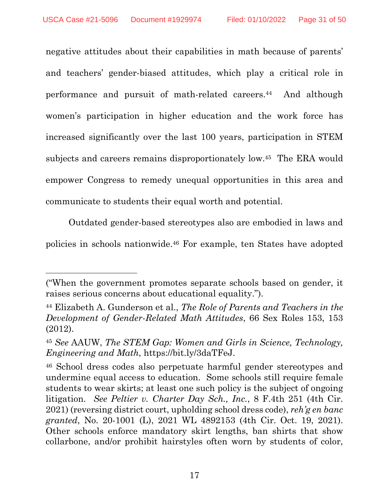negative attitudes about their capabilities in math because of parents' and teachers' gender-biased attitudes, which play a critical role in performance and pursuit of math-related careers.44 And although women's participation in higher education and the work force has increased significantly over the last 100 years, participation in STEM subjects and careers remains disproportionately low.45 The ERA would empower Congress to remedy unequal opportunities in this area and communicate to students their equal worth and potential.

Outdated gender-based stereotypes also are embodied in laws and policies in schools nationwide.46 For example, ten States have adopted

<sup>(&</sup>quot;When the government promotes separate schools based on gender, it raises serious concerns about educational equality.").

<span id="page-30-3"></span><sup>44</sup> Elizabeth A. Gunderson et al., *The Role of Parents and Teachers in the Development of Gender-Related Math Attitudes*, 66 Sex Roles 153, 153 (2012).

<span id="page-30-2"></span><sup>45</sup> *See* AAUW, *The STEM Gap: Women and Girls in Science, Technology, Engineering and Math*, https://bit.ly/3daTFeJ.

<span id="page-30-1"></span><span id="page-30-0"></span><sup>46</sup> School dress codes also perpetuate harmful gender stereotypes and undermine equal access to education. Some schools still require female students to wear skirts; at least one such policy is the subject of ongoing litigation. *See Peltier v. Charter Day Sch., Inc.*, 8 F.4th 251 (4th Cir. 2021) (reversing district court, upholding school dress code), *reh'g en banc granted*, No. 20-1001 (L), 2021 WL 4892153 (4th Cir. Oct. 19, 2021). Other schools enforce mandatory skirt lengths, ban shirts that show collarbone, and/or prohibit hairstyles often worn by students of color,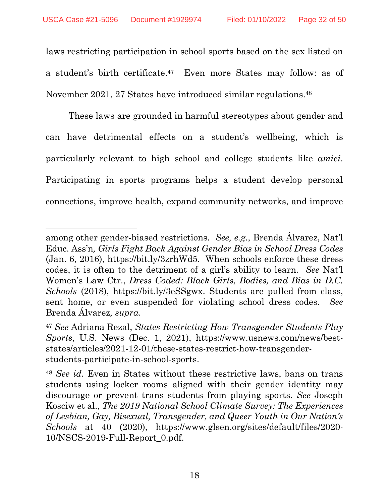laws restricting participation in school sports based on the sex listed on a student's birth certificate.47 Even more States may follow: as of November 2021, 27 States have introduced similar regulations.<sup>48</sup>

These laws are grounded in harmful stereotypes about gender and can have detrimental effects on a student's wellbeing, which is particularly relevant to high school and college students like *amici*. Participating in sports programs helps a student develop personal connections, improve health, expand community networks, and improve

<span id="page-31-3"></span><span id="page-31-1"></span>among other gender-biased restrictions. *See, e.g.*, Brenda Álvarez, Nat'l Educ. Ass'n*, Girls Fight Back Against Gender Bias in School Dress Codes* (Jan. 6, 2016), https://bit.ly/3zrhWd5. When schools enforce these dress codes, it is often to the detriment of a girl's ability to learn. *See* Nat'l Women's Law Ctr., *Dress Coded: Black Girls, Bodies, and Bias in D.C. Schools* (2018), https://bit.ly/3eSSgwx. Students are pulled from class, sent home, or even suspended for violating school dress codes. *See* Brenda Álvarez*, supra*.

<span id="page-31-0"></span><sup>47</sup> *See* Adriana Rezal, *States Restricting How Transgender Students Play Sports*, U.S. News (Dec. 1, 2021), https://www.usnews.com/news/beststates/articles/2021-12-01/these-states-restrict-how-transgenderstudents-participate-in-school-sports.

<span id="page-31-2"></span><sup>48</sup> *See id*. Even in States without these restrictive laws, bans on trans students using locker rooms aligned with their gender identity may discourage or prevent trans students from playing sports. *See* Joseph Kosciw et al., *The 2019 National School Climate Survey: The Experiences of Lesbian, Gay, Bisexual, Transgender, and Queer Youth in Our Nation's Schools* at 40 (2020), https://www.glsen.org/sites/default/files/2020- 10/NSCS-2019-Full-Report\_0.pdf.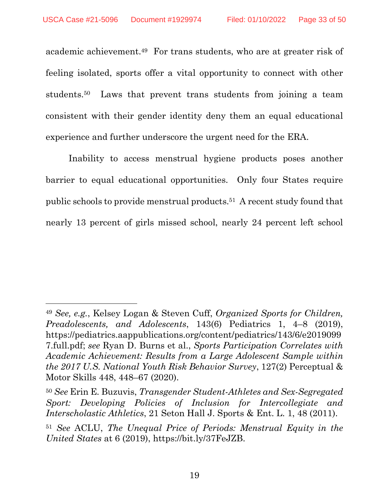academic achievement.49 For trans students, who are at greater risk of feeling isolated, sports offer a vital opportunity to connect with other students.50 Laws that prevent trans students from joining a team consistent with their gender identity deny them an equal educational experience and further underscore the urgent need for the ERA.

Inability to access menstrual hygiene products poses another barrier to equal educational opportunities. Only four States require public schools to provide menstrual products.51 A recent study found that nearly 13 percent of girls missed school, nearly 24 percent left school

<span id="page-32-3"></span><span id="page-32-2"></span><sup>49</sup> *See, e.g.*, Kelsey Logan & Steven Cuff, *Organized Sports for Children, Preadolescents, and Adolescents*, 143(6) Pediatrics 1, 4–8 (2019), https://pediatrics.aappublications.org/content/pediatrics/143/6/e2019099 7.full.pdf; *see* Ryan D. Burns et al., *Sports Participation Correlates with Academic Achievement: Results from a Large Adolescent Sample within the 2017 U.S. National Youth Risk Behavior Survey*, 127(2) Perceptual & Motor Skills 448, 448–67 (2020).

<span id="page-32-1"></span><sup>50</sup> *See* Erin E. Buzuvis, *Transgender Student-Athletes and Sex-Segregated Sport: Developing Policies of Inclusion for Intercollegiate and Interscholastic Athletics*, 21 Seton Hall J. Sports & Ent. L. 1, 48 (2011).

<span id="page-32-0"></span><sup>51</sup> *See* ACLU, *The Unequal Price of Periods: Menstrual Equity in the United States* at 6 (2019), https://bit.ly/37FeJZB.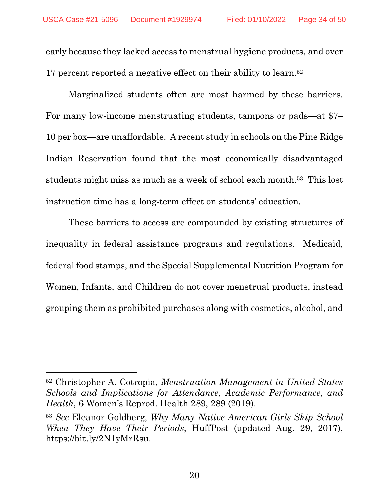early because they lacked access to menstrual hygiene products, and over 17 percent reported a negative effect on their ability to learn.<sup>52</sup>

Marginalized students often are most harmed by these barriers. For many low-income menstruating students, tampons or pads—at \$7– 10 per box—are unaffordable. A recent study in schools on the Pine Ridge Indian Reservation found that the most economically disadvantaged students might miss as much as a week of school each month.53 This lost instruction time has a long-term effect on students' education.

These barriers to access are compounded by existing structures of inequality in federal assistance programs and regulations. Medicaid, federal food stamps, and the Special Supplemental Nutrition Program for Women, Infants, and Children do not cover menstrual products, instead grouping them as prohibited purchases along with cosmetics, alcohol, and

<span id="page-33-0"></span><sup>52</sup> Christopher A. Cotropia, *Menstruation Management in United States Schools and Implications for Attendance, Academic Performance, and Health*, 6 Women's Reprod. Health 289, 289 (2019).

<span id="page-33-1"></span><sup>53</sup> *See* Eleanor Goldberg*, Why Many Native American Girls Skip School When They Have Their Periods*, HuffPost (updated Aug. 29, 2017), https://bit.ly/2N1yMrRsu.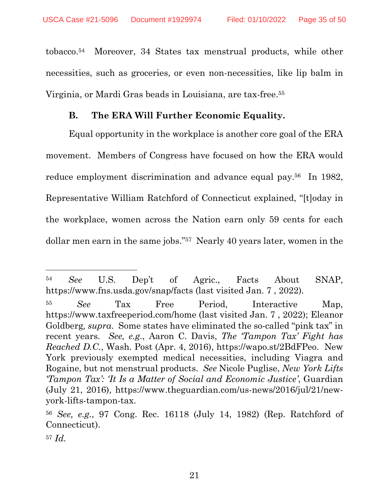tobacco.54 Moreover, 34 States tax menstrual products, while other necessities, such as groceries, or even non-necessities, like lip balm in Virginia, or Mardi Gras beads in Louisiana, are tax-free.<sup>55</sup>

#### **B. The ERA Will Further Economic Equality.**

<span id="page-34-0"></span>Equal opportunity in the workplace is another core goal of the ERA movement. Members of Congress have focused on how the ERA would reduce employment discrimination and advance equal pay.56 In 1982, Representative William Ratchford of Connecticut explained, "[t]oday in the workplace, women across the Nation earn only 59 cents for each dollar men earn in the same jobs."57 Nearly 40 years later, women in the

<span id="page-34-6"></span><sup>54</sup> *See* U.S. Dep't of Agric., Facts About SNAP, https://www.fns.usda.gov/snap/facts (last visited Jan. 7 , 2022).

<span id="page-34-5"></span><span id="page-34-3"></span><span id="page-34-2"></span><sup>55</sup> *See* Tax Free Period, Interactive Map, https://www.taxfreeperiod.com/home (last visited Jan. 7 , 2022); Eleanor Goldberg*, supra*. Some states have eliminated the so-called "pink tax" in recent years. *See, e.g.*, Aaron C. Davis, *The 'Tampon Tax' Fight has Reached D.C.*, Wash. Post (Apr. 4, 2016), https://wapo.st/2BdFPeo. New York previously exempted medical necessities, including Viagra and Rogaine, but not menstrual products. *See* Nicole Puglise, *New York Lifts 'Tampon Tax': 'It Is a Matter of Social and Economic Justice'*, Guardian (July 21, 2016), https://www.theguardian.com/us-news/2016/jul/21/newyork-lifts-tampon-tax.

<span id="page-34-4"></span><span id="page-34-1"></span><sup>56</sup> *See, e.g.*, 97 Cong. Rec. 16118 (July 14, 1982) (Rep. Ratchford of Connecticut).

<sup>57</sup> *Id.*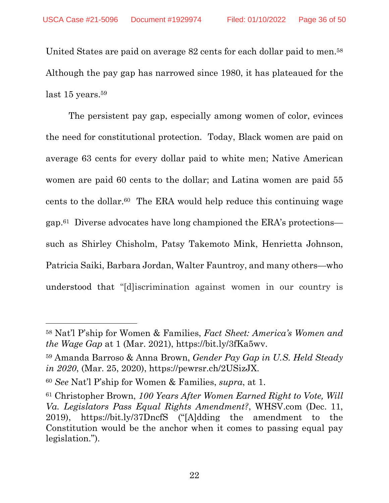United States are paid on average 82 cents for each dollar paid to men.<sup>58</sup> Although the pay gap has narrowed since 1980, it has plateaued for the last 15 years.<sup>59</sup>

The persistent pay gap, especially among women of color, evinces the need for constitutional protection. Today, Black women are paid on average 63 cents for every dollar paid to white men; Native American women are paid 60 cents to the dollar; and Latina women are paid 55 cents to the dollar.60 The ERA would help reduce this continuing wage gap.61 Diverse advocates have long championed the ERA's protections such as Shirley Chisholm, Patsy Takemoto Mink, Henrietta Johnson, Patricia Saiki, Barbara Jordan, Walter Fauntroy, and many others—who understood that "[d]iscrimination against women in our country is

<span id="page-35-2"></span><sup>58</sup> Nat'l P'ship for Women & Families, *Fact Sheet: America's Women and the Wage Gap* at 1 (Mar. 2021), https://bit.ly/3fKa5wv.

<span id="page-35-0"></span><sup>59</sup> Amanda Barroso & Anna Brown, *Gender Pay Gap in U.S. Held Steady in 2020*, (Mar. 25, 2020), https://pewrsr.ch/2USizJX.

<sup>60</sup> *See* Nat'l P'ship for Women & Families, *supra*, at 1.

<span id="page-35-1"></span><sup>61</sup> Christopher Brown, *100 Years After Women Earned Right to Vote, Will Va. Legislators Pass Equal Rights Amendment?*, WHSV.com (Dec. 11, 2019), https://bit.ly/37DncfS ("[A]dding the amendment to the Constitution would be the anchor when it comes to passing equal pay legislation.").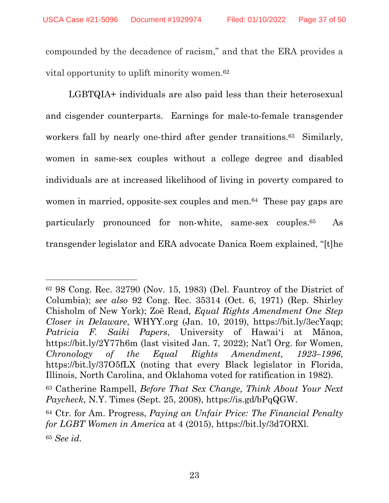compounded by the decadence of racism," and that the ERA provides a vital opportunity to uplift minority women.<sup>62</sup>

LGBTQIA+ individuals are also paid less than their heterosexual and cisgender counterparts. Earnings for male-to-female transgender workers fall by nearly one-third after gender transitions.<sup>63</sup> Similarly, women in same-sex couples without a college degree and disabled individuals are at increased likelihood of living in poverty compared to women in married, opposite-sex couples and men.<sup>64</sup> These pay gaps are particularly pronounced for non-white, same-sex couples.65 As transgender legislator and ERA advocate Danica Roem explained, "[t]he

<span id="page-36-6"></span><span id="page-36-5"></span><span id="page-36-1"></span><span id="page-36-0"></span><sup>62</sup> 98 Cong. Rec. 32790 (Nov. 15, 1983) (Del. Fauntroy of the District of Columbia); *see also* 92 Cong. Rec. 35314 (Oct. 6, 1971) (Rep. Shirley Chisholm of New York); Zoë Read, *Equal Rights Amendment One Step Closer in Delaware*, WHYY.org (Jan. 10, 2019), https://bit.ly/3ecYaqp; *Patricia F. Saiki Papers*, University of Hawaiʻi at Mānoa, https://bit.ly/2Y77h6m (last visited Jan. 7, 2022); Nat'l Org. for Women, *Chronology of the Equal Rights Amendment, 1923–1996*, https://bit.ly/37O5fLX (noting that every Black legislator in Florida, Illinois, North Carolina, and Oklahoma voted for ratification in 1982).

<span id="page-36-4"></span><span id="page-36-2"></span><sup>63</sup> Catherine Rampell, *Before That Sex Change, Think About Your Next Paycheck*, N.Y. Times (Sept. 25, 2008), https://is.gd/bPqQGW.

<span id="page-36-3"></span><sup>64</sup> Ctr. for Am. Progress, *Paying an Unfair Price: The Financial Penalty for LGBT Women in America* at 4 (2015), https://bit.ly/3d7ORXl. <sup>65</sup> *See id.*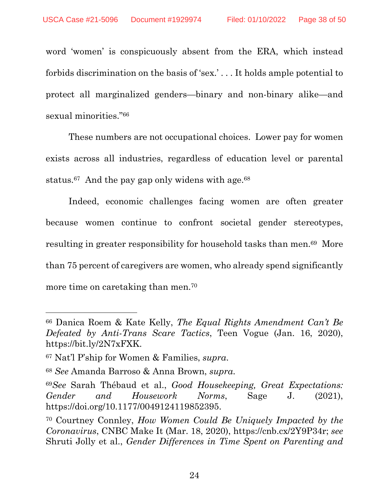word 'women' is conspicuously absent from the ERA, which instead forbids discrimination on the basis of 'sex.' . . . It holds ample potential to protect all marginalized genders—binary and non-binary alike—and sexual minorities."<sup>66</sup>

These numbers are not occupational choices. Lower pay for women exists across all industries, regardless of education level or parental status. $67$  And the pay gap only widens with age. $68$ 

Indeed, economic challenges facing women are often greater because women continue to confront societal gender stereotypes, resulting in greater responsibility for household tasks than men.69 More than 75 percent of caregivers are women, who already spend significantly more time on caretaking than men.<sup>70</sup>

<span id="page-37-2"></span><sup>66</sup> Danica Roem & Kate Kelly, *The Equal Rights Amendment Can't Be Defeated by Anti-Trans Scare Tactics*, Teen Vogue (Jan. 16, 2020), https://bit.ly/2N7xFXK.

<span id="page-37-3"></span><sup>67</sup> Nat'l P'ship for Women & Families, *supra*.

<span id="page-37-0"></span><sup>68</sup> *See* Amanda Barroso & Anna Brown, *supra*.

<span id="page-37-4"></span><sup>69</sup>*See* Sarah Thébaud et al., *Good Housekeeping, Great Expectations: Gender and Housework Norms*, Sage J. (2021), https://doi.org/10.1177/0049124119852395.

<span id="page-37-5"></span><span id="page-37-1"></span><sup>70</sup> Courtney Connley, *How Women Could Be Uniquely Impacted by the Coronavirus*, CNBC Make It (Mar. 18, 2020), https://cnb.cx/2Y9P34r; *see*  Shruti Jolly et al., *Gender Differences in Time Spent on Parenting and*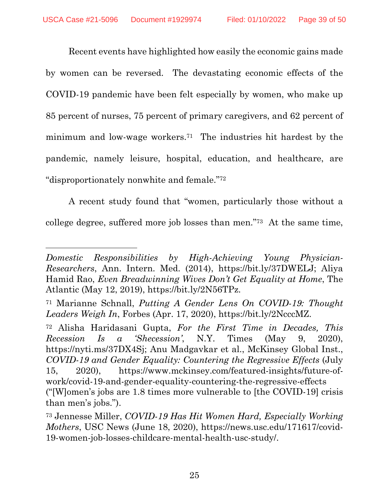Recent events have highlighted how easily the economic gains made by women can be reversed. The devastating economic effects of the COVID-19 pandemic have been felt especially by women, who make up 85 percent of nurses, 75 percent of primary caregivers, and 62 percent of minimum and low-wage workers.71 The industries hit hardest by the pandemic, namely leisure, hospital, education, and healthcare, are "disproportionately nonwhite and female."<sup>72</sup>

A recent study found that "women, particularly those without a college degree, suffered more job losses than men."73 At the same time,

<span id="page-38-1"></span>*Domestic Responsibilities by High-Achieving Young Physician-Researchers*, Ann. Intern. Med. (2014), https://bit.ly/37DWELJ; Aliya Hamid Rao, *Even Breadwinning Wives Don't Get Equality at Home*, The Atlantic (May 12, 2019), https://bit.ly/2N56TPz.

<span id="page-38-4"></span><sup>71</sup> Marianne Schnall, *Putting A Gender Lens On COVID-19: Thought Leaders Weigh In*, Forbes (Apr. 17, 2020), https://bit.ly/2NcccMZ.

<span id="page-38-2"></span><span id="page-38-0"></span><sup>72</sup> Alisha Haridasani Gupta, *For the First Time in Decades, This Recession Is a 'Shecession'*, N.Y. Times (May 9, 2020), https://nyti.ms/37DX4Sj; Anu Madgavkar et al., McKinsey Global Inst., *COVID-19 and Gender Equality: Countering the Regressive Effects* (July 15, 2020), https://www.mckinsey.com/featured-insights/future-ofwork/covid-19-and-gender-equality-countering-the-regressive-effects ("[W]omen's jobs are 1.8 times more vulnerable to [the COVID-19] crisis than men's jobs.").

<span id="page-38-3"></span><sup>73</sup> Jennesse Miller, *COVID-19 Has Hit Women Hard, Especially Working Mothers*, USC News (June 18, 2020), https://news.usc.edu/171617/covid-19-women-job-losses-childcare-mental-health-usc-study/.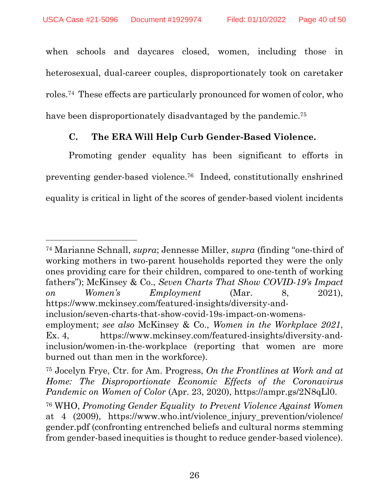when schools and daycares closed, women, including those in heterosexual, dual-career couples, disproportionately took on caretaker roles.74 These effects are particularly pronounced for women of color, who have been disproportionately disadvantaged by the pandemic.<sup>75</sup>

## **C. The ERA Will Help Curb Gender-Based Violence.**

<span id="page-39-0"></span>Promoting gender equality has been significant to efforts in preventing gender-based violence.76 Indeed, constitutionally enshrined equality is critical in light of the scores of gender-based violent incidents

<span id="page-39-5"></span><span id="page-39-3"></span><span id="page-39-1"></span><sup>74</sup> Marianne Schnall, *supra*; Jennesse Miller, *supra* (finding "one-third of working mothers in two-parent households reported they were the only ones providing care for their children, compared to one-tenth of working fathers"); McKinsey & Co., *Seven Charts That Show COVID-19's Impact on Women's Employment* (Mar. 8, 2021), https://www.mckinsey.com/featured-insights/diversity-and-

inclusion/seven-charts-that-show-covid-19s-impact-on-womens-

<span id="page-39-4"></span>employment; *see also* McKinsey & Co., *Women in the Workplace 2021*, Ex. 4, https://www.mckinsey.com/featured-insights/diversity-andinclusion/women-in-the-workplace (reporting that women are more burned out than men in the workforce).

<span id="page-39-2"></span><sup>75</sup> Jocelyn Frye, Ctr. for Am. Progress, *On the Frontlines at Work and at Home: The Disproportionate Economic Effects of the Coronavirus Pandemic on Women of Color* (Apr. 23, 2020), https://ampr.gs/2N8qLl0.

<span id="page-39-6"></span><sup>76</sup> WHO, *Promoting Gender Equality to Prevent Violence Against Women*  at 4 (2009), https://www.who.int/violence injury prevention/violence/ gender.pdf (confronting entrenched beliefs and cultural norms stemming from gender-based inequities is thought to reduce gender-based violence).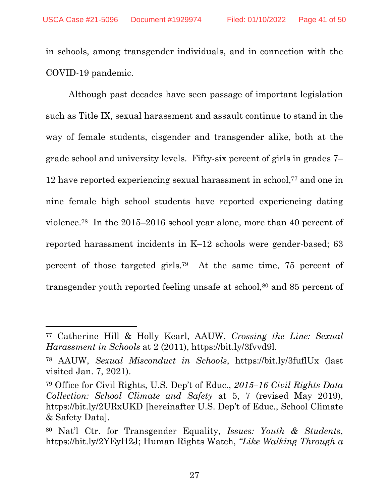in schools, among transgender individuals, and in connection with the COVID-19 pandemic.

Although past decades have seen passage of important legislation such as Title IX, sexual harassment and assault continue to stand in the way of female students, cisgender and transgender alike, both at the grade school and university levels. Fifty-six percent of girls in grades 7– 12 have reported experiencing sexual harassment in school,<sup>77</sup> and one in nine female high school students have reported experiencing dating violence.78 In the 2015–2016 school year alone, more than 40 percent of reported harassment incidents in K–12 schools were gender-based; 63 percent of those targeted girls.79 At the same time, 75 percent of transgender youth reported feeling unsafe at school,<sup>80</sup> and 85 percent of

<span id="page-40-1"></span><sup>77</sup> Catherine Hill & Holly Kearl, AAUW, *Crossing the Line: Sexual Harassment in Schools* at 2 (2011), https://bit.ly/3fvvd9l.

<span id="page-40-0"></span><sup>78</sup> AAUW, *Sexual Misconduct in Schools*, https://bit.ly/3fuflUx (last visited Jan. 7, 2021).

<span id="page-40-4"></span><sup>79</sup> Office for Civil Rights, U.S. Dep't of Educ., *2015–16 Civil Rights Data Collection: School Climate and Safety* at 5, 7 (revised May 2019), https://bit.ly/2URxUKD [hereinafter U.S. Dep't of Educ., School Climate & Safety Data].

<span id="page-40-3"></span><span id="page-40-2"></span><sup>80</sup> Nat'l Ctr. for Transgender Equality, *Issues: Youth & Students*, https://bit.ly/2YEyH2J; Human Rights Watch, *"Like Walking Through a*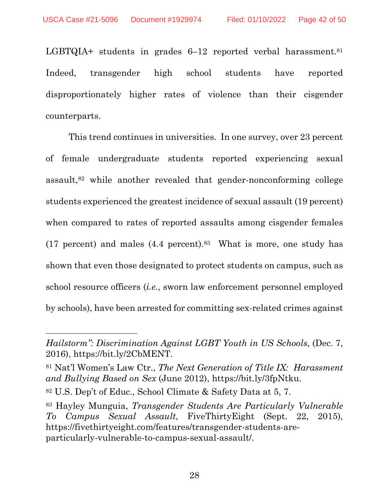LGBTQIA+ students in grades 6–12 reported verbal harassment.<sup>81</sup> Indeed, transgender high school students have reported disproportionately higher rates of violence than their cisgender counterparts.

This trend continues in universities. In one survey, over 23 percent of female undergraduate students reported experiencing sexual assault,82 while another revealed that gender-nonconforming college students experienced the greatest incidence of sexual assault (19 percent) when compared to rates of reported assaults among cisgender females  $(17$  percent) and males  $(4.4$  percent).<sup>83</sup> What is more, one study has shown that even those designated to protect students on campus, such as school resource officers (*i.e.*, sworn law enforcement personnel employed by schools), have been arrested for committing sex-related crimes against

*Hailstorm": Discrimination Against LGBT Youth in US Schools*, (Dec. 7, 2016), https://bit.ly/2CbMENT.

<span id="page-41-1"></span><sup>81</sup> Nat'l Women's Law Ctr., *The Next Generation of Title IX: Harassment and Bullying Based on Sex* (June 2012), https://bit.ly/3fpNtku.

<span id="page-41-2"></span><sup>82</sup> U.S. Dep't of Educ., School Climate & Safety Data at 5, 7.

<span id="page-41-0"></span><sup>83</sup> Hayley Munguia, *Transgender Students Are Particularly Vulnerable To Campus Sexual Assault*, FiveThirtyEight (Sept. 22, 2015), https://fivethirtyeight.com/features/transgender-students-areparticularly-vulnerable-to-campus-sexual-assault/.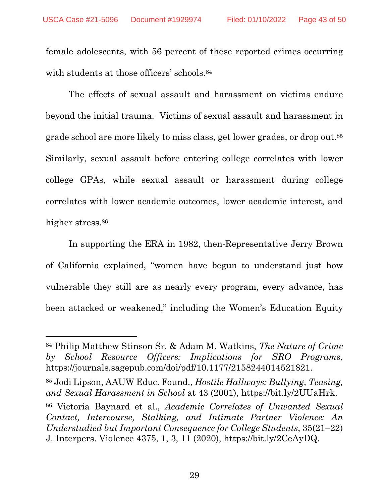female adolescents, with 56 percent of these reported crimes occurring with students at those officers' schools.<sup>84</sup>

The effects of sexual assault and harassment on victims endure beyond the initial trauma. Victims of sexual assault and harassment in grade school are more likely to miss class, get lower grades, or drop out.<sup>85</sup> Similarly, sexual assault before entering college correlates with lower college GPAs, while sexual assault or harassment during college correlates with lower academic outcomes, lower academic interest, and higher stress.<sup>86</sup>

In supporting the ERA in 1982, then-Representative Jerry Brown of California explained, "women have begun to understand just how vulnerable they still are as nearly every program, every advance, has been attacked or weakened," including the Women's Education Equity

<span id="page-42-1"></span><sup>84</sup> Philip Matthew Stinson Sr. & Adam M. Watkins, *The Nature of Crime by School Resource Officers: Implications for SRO Programs*, https://journals.sagepub.com/doi/pdf/10.1177/2158244014521821.

<span id="page-42-0"></span><sup>85</sup> Jodi Lipson, AAUW Educ. Found., *Hostile Hallways: Bullying, Teasing, and Sexual Harassment in School* at 43 (2001), https://bit.ly/2UUaHrk.

<span id="page-42-2"></span><sup>86</sup> Victoria Baynard et al., *Academic Correlates of Unwanted Sexual Contact, Intercourse, Stalking, and Intimate Partner Violence: An Understudied but Important Consequence for College Students*, 35(21–22) J. Interpers. Violence 4375, 1, 3, 11 (2020), https://bit.ly/2CeAyDQ.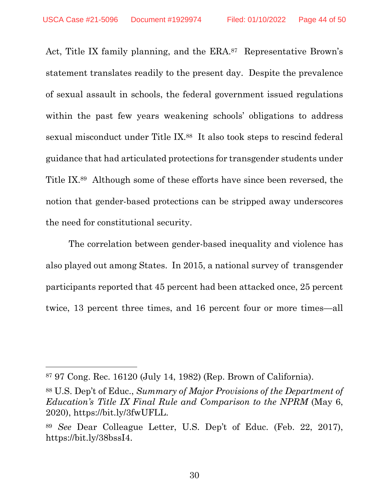Act, Title IX family planning, and the ERA.<sup>87</sup> Representative Brown's statement translates readily to the present day. Despite the prevalence of sexual assault in schools, the federal government issued regulations within the past few years weakening schools' obligations to address sexual misconduct under Title IX.88 It also took steps to rescind federal guidance that had articulated protections for transgender students under Title IX.89 Although some of these efforts have since been reversed, the notion that gender-based protections can be stripped away underscores the need for constitutional security.

The correlation between gender-based inequality and violence has also played out among States. In 2015, a national survey of transgender participants reported that 45 percent had been attacked once, 25 percent twice, 13 percent three times, and 16 percent four or more times—all

<span id="page-43-0"></span><sup>87</sup> 97 Cong. Rec. 16120 (July 14, 1982) (Rep. Brown of California).

<span id="page-43-2"></span><sup>88</sup> U.S. Dep't of Educ., *Summary of Major Provisions of the Department of Education's Title IX Final Rule and Comparison to the NPRM* (May 6, 2020), https://bit.ly/3fwUFLL.

<span id="page-43-1"></span><sup>89</sup> *See* Dear Colleague Letter, U.S. Dep't of Educ. (Feb. 22, 2017), https://bit.ly/38bssI4.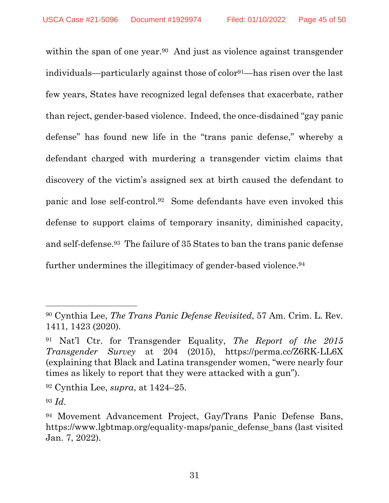within the span of one year.<sup>90</sup> And just as violence against transgender individuals—particularly against those of color91—has risen over the last few years, States have recognized legal defenses that exacerbate, rather than reject, gender-based violence. Indeed, the once-disdained "gay panic defense" has found new life in the "trans panic defense," whereby a defendant charged with murdering a transgender victim claims that discovery of the victim's assigned sex at birth caused the defendant to panic and lose self-control.92 Some defendants have even invoked this defense to support claims of temporary insanity, diminished capacity, and self-defense.93 The failure of 35 States to ban the trans panic defense further undermines the illegitimacy of gender-based violence.<sup>94</sup>

<sup>92</sup> Cynthia Lee, *supra*, at 1424–25.

<span id="page-44-0"></span><sup>90</sup> Cynthia Lee, *The Trans Panic Defense Revisited*, 57 Am. Crim. L. Rev. 1411, 1423 (2020).

<span id="page-44-2"></span><sup>91</sup> Nat'l Ctr. for Transgender Equality, *The Report of the 2015 Transgender Survey* at 204 (2015), https://perma.cc/Z6RK-LL6X (explaining that Black and Latina transgender women, "were nearly four times as likely to report that they were attacked with a gun").

<sup>93</sup> *Id.* 

<span id="page-44-1"></span><sup>94</sup> Movement Advancement Project, Gay/Trans Panic Defense Bans, https://www.lgbtmap.org/equality-maps/panic\_defense\_bans (last visited Jan. 7, 2022).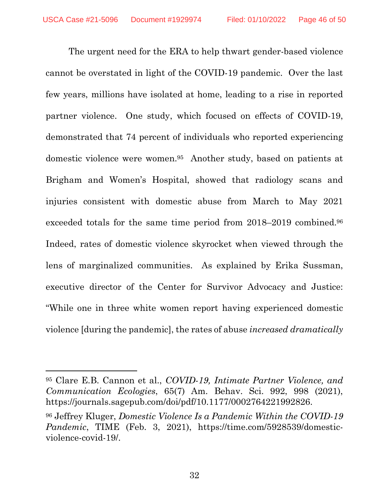The urgent need for the ERA to help thwart gender-based violence cannot be overstated in light of the COVID-19 pandemic. Over the last few years, millions have isolated at home, leading to a rise in reported partner violence. One study, which focused on effects of COVID-19, demonstrated that 74 percent of individuals who reported experiencing domestic violence were women.95 Another study, based on patients at Brigham and Women's Hospital, showed that radiology scans and injuries consistent with domestic abuse from March to May 2021 exceeded totals for the same time period from 2018–2019 combined.<sup>96</sup> Indeed, rates of domestic violence skyrocket when viewed through the lens of marginalized communities. As explained by Erika Sussman, executive director of the Center for Survivor Advocacy and Justice: "While one in three white women report having experienced domestic violence [during the pandemic], the rates of abuse *increased dramatically* 

<span id="page-45-0"></span><sup>95</sup> Clare E.B. Cannon et al., *COVID-19, Intimate Partner Violence, and Communication Ecologies*, 65(7) Am. Behav. Sci. 992, 998 (2021), https://journals.sagepub.com/doi/pdf/10.1177/0002764221992826.

<span id="page-45-1"></span><sup>96</sup> Jeffrey Kluger, *Domestic Violence Is a Pandemic Within the COVID-19 Pandemic*, TIME (Feb. 3, 2021), https://time.com/5928539/domesticviolence-covid-19/.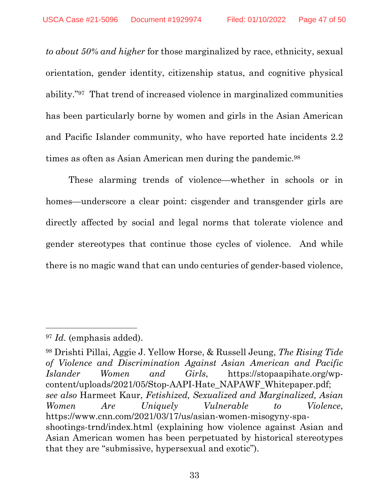*to about 50% and higher* for those marginalized by race, ethnicity, sexual orientation, gender identity, citizenship status, and cognitive physical ability."97 That trend of increased violence in marginalized communities has been particularly borne by women and girls in the Asian American and Pacific Islander community, who have reported hate incidents 2.2 times as often as Asian American men during the pandemic.<sup>98</sup>

These alarming trends of violence—whether in schools or in homes—underscore a clear point: cisgender and transgender girls are directly affected by social and legal norms that tolerate violence and gender stereotypes that continue those cycles of violence. And while there is no magic wand that can undo centuries of gender-based violence,

<span id="page-46-2"></span><sup>97</sup> *Id.* (emphasis added).

<span id="page-46-1"></span><span id="page-46-0"></span><sup>98</sup> Drishti Pillai, Aggie J. Yellow Horse, & Russell Jeung, *The Rising Tide of Violence and Discrimination Against Asian American and Pacific Islander Women and Girls*, https://stopaapihate.org/wpcontent/uploads/2021/05/Stop-AAPI-Hate\_NAPAWF\_Whitepaper.pdf; *see also* Harmeet Kaur, *Fetishized, Sexualized and Marginalized, Asian Women Are Uniquely Vulnerable to Violence*, https://www.cnn.com/2021/03/17/us/asian-women-misogyny-spashootings-trnd/index.html (explaining how violence against Asian and Asian American women has been perpetuated by historical stereotypes that they are "submissive, hypersexual and exotic").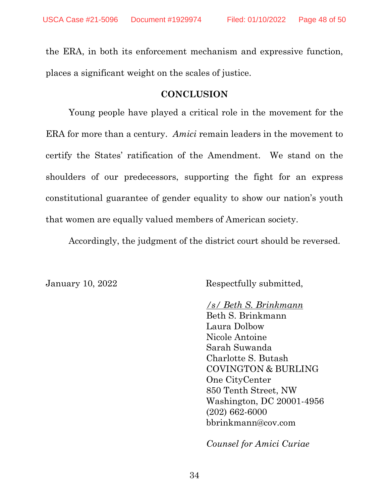the ERA, in both its enforcement mechanism and expressive function, places a significant weight on the scales of justice.

#### **CONCLUSION**

<span id="page-47-0"></span>Young people have played a critical role in the movement for the ERA for more than a century. *Amici* remain leaders in the movement to certify the States' ratification of the Amendment. We stand on the shoulders of our predecessors, supporting the fight for an express constitutional guarantee of gender equality to show our nation's youth that women are equally valued members of American society.

Accordingly, the judgment of the district court should be reversed.

January 10, 2022 Respectfully submitted,

#### */s/ Beth S. Brinkmann*

Beth S. Brinkmann Laura Dolbow Nicole Antoine Sarah Suwanda Charlotte S. Butash COVINGTON & BURLING One CityCenter 850 Tenth Street, NW Washington, DC 20001-4956 (202) 662-6000 bbrinkmann@cov.com

*Counsel for Amici Curiae*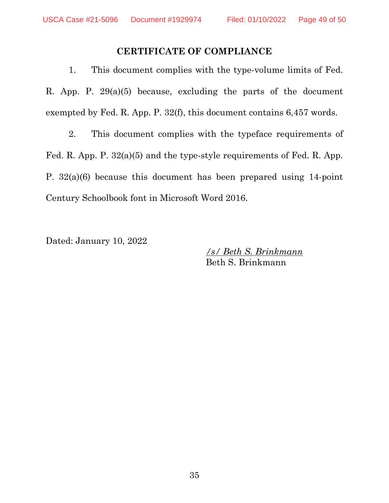#### **CERTIFICATE OF COMPLIANCE**

<span id="page-48-0"></span>1. This document complies with the type-volume limits of Fed. R. App. P. 29(a)(5) because, excluding the parts of the document exempted by Fed. R. App. P. 32(f), this document contains 6,457 words.

2. This document complies with the typeface requirements of Fed. R. App. P. 32(a)(5) and the type-style requirements of Fed. R. App. P. 32(a)(6) because this document has been prepared using 14-point Century Schoolbook font in Microsoft Word 2016.

Dated: January 10, 2022

*/s/ Beth S. Brinkmann*  Beth S. Brinkmann